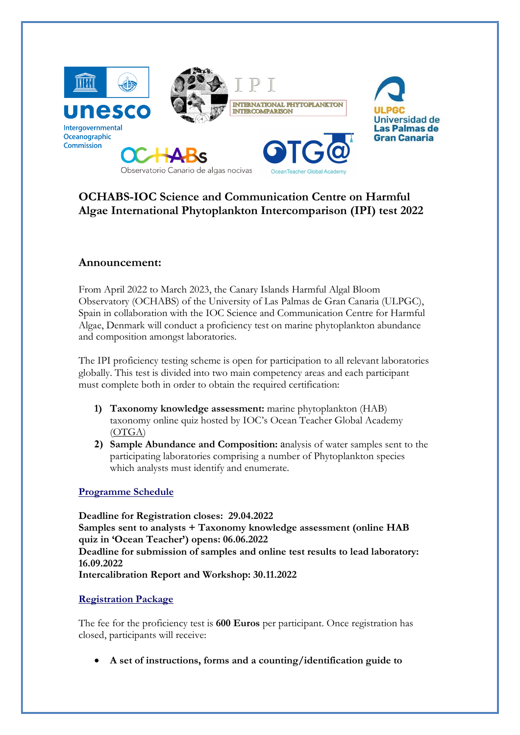

# OCHABS-IOC Science and Communication Centre on Harmful Algae International Phytoplankton Intercomparison (IPI) test 2022

## Announcement:

From April 2022 to March 2023, the Canary Islands Harmful Algal Bloom Observatory (OCHABS) of the University of Las Palmas de Gran Canaria (ULPGC), Spain in collaboration with the IOC Science and Communication Centre for Harmful Algae, Denmark will conduct a proficiency test on marine phytoplankton abundance and composition amongst laboratories.

The IPI proficiency testing scheme is open for participation to all relevant laboratories globally. This test is divided into two main competency areas and each participant must complete both in order to obtain the required certification:

- 1) Taxonomy knowledge assessment: marine phytoplankton (HAB) taxonomy online quiz hosted by IOC's Ocean Teacher Global Academy (OTGA)
- 2) Sample Abundance and Composition: analysis of water samples sent to the participating laboratories comprising a number of Phytoplankton species which analysts must identify and enumerate.

### Programme Schedule

Deadline for Registration closes: 29.04.2022 Samples sent to analysts + Taxonomy knowledge assessment (online HAB quiz in 'Ocean Teacher') opens: 06.06.2022 Deadline for submission of samples and online test results to lead laboratory: 16.09.2022 Intercalibration Report and Workshop: 30.11.2022

### Registration Package

The fee for the proficiency test is 600 Euros per participant. Once registration has closed, participants will receive:

A set of instructions, forms and a counting/identification guide to